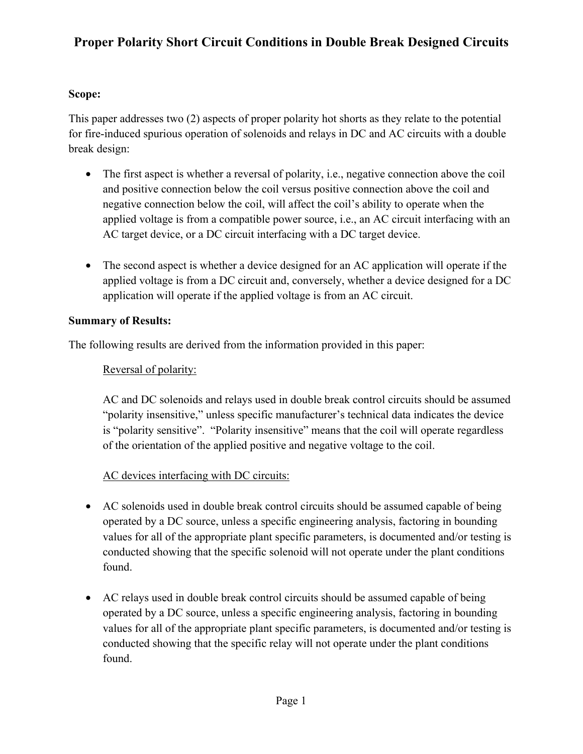## **Scope:**

This paper addresses two (2) aspects of proper polarity hot shorts as they relate to the potential for fire-induced spurious operation of solenoids and relays in DC and AC circuits with a double break design:

- The first aspect is whether a reversal of polarity, i.e., negative connection above the coil and positive connection below the coil versus positive connection above the coil and negative connection below the coil, will affect the coil's ability to operate when the applied voltage is from a compatible power source, i.e., an AC circuit interfacing with an AC target device, or a DC circuit interfacing with a DC target device.
- The second aspect is whether a device designed for an AC application will operate if the applied voltage is from a DC circuit and, conversely, whether a device designed for a DC application will operate if the applied voltage is from an AC circuit.

#### **Summary of Results:**

The following results are derived from the information provided in this paper:

## Reversal of polarity:

AC and DC solenoids and relays used in double break control circuits should be assumed "polarity insensitive," unless specific manufacturer's technical data indicates the device is "polarity sensitive". "Polarity insensitive" means that the coil will operate regardless of the orientation of the applied positive and negative voltage to the coil.

## AC devices interfacing with DC circuits:

- AC solenoids used in double break control circuits should be assumed capable of being operated by a DC source, unless a specific engineering analysis, factoring in bounding values for all of the appropriate plant specific parameters, is documented and/or testing is conducted showing that the specific solenoid will not operate under the plant conditions found.
- AC relays used in double break control circuits should be assumed capable of being operated by a DC source, unless a specific engineering analysis, factoring in bounding values for all of the appropriate plant specific parameters, is documented and/or testing is conducted showing that the specific relay will not operate under the plant conditions found.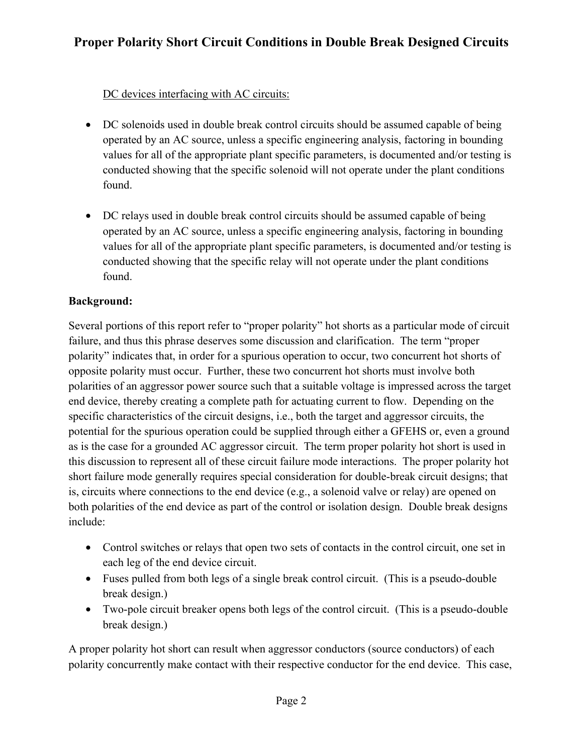## DC devices interfacing with AC circuits:

- DC solenoids used in double break control circuits should be assumed capable of being operated by an AC source, unless a specific engineering analysis, factoring in bounding values for all of the appropriate plant specific parameters, is documented and/or testing is conducted showing that the specific solenoid will not operate under the plant conditions found.
- DC relays used in double break control circuits should be assumed capable of being operated by an AC source, unless a specific engineering analysis, factoring in bounding values for all of the appropriate plant specific parameters, is documented and/or testing is conducted showing that the specific relay will not operate under the plant conditions found.

## **Background:**

Several portions of this report refer to "proper polarity" hot shorts as a particular mode of circuit failure, and thus this phrase deserves some discussion and clarification. The term "proper polarity" indicates that, in order for a spurious operation to occur, two concurrent hot shorts of opposite polarity must occur. Further, these two concurrent hot shorts must involve both polarities of an aggressor power source such that a suitable voltage is impressed across the target end device, thereby creating a complete path for actuating current to flow. Depending on the specific characteristics of the circuit designs, i.e., both the target and aggressor circuits, the potential for the spurious operation could be supplied through either a GFEHS or, even a ground as is the case for a grounded AC aggressor circuit. The term proper polarity hot short is used in this discussion to represent all of these circuit failure mode interactions. The proper polarity hot short failure mode generally requires special consideration for double-break circuit designs; that is, circuits where connections to the end device (e.g., a solenoid valve or relay) are opened on both polarities of the end device as part of the control or isolation design. Double break designs include:

- Control switches or relays that open two sets of contacts in the control circuit, one set in each leg of the end device circuit.
- Fuses pulled from both legs of a single break control circuit. (This is a pseudo-double break design.)
- Two-pole circuit breaker opens both legs of the control circuit. (This is a pseudo-double break design.)

A proper polarity hot short can result when aggressor conductors (source conductors) of each polarity concurrently make contact with their respective conductor for the end device. This case,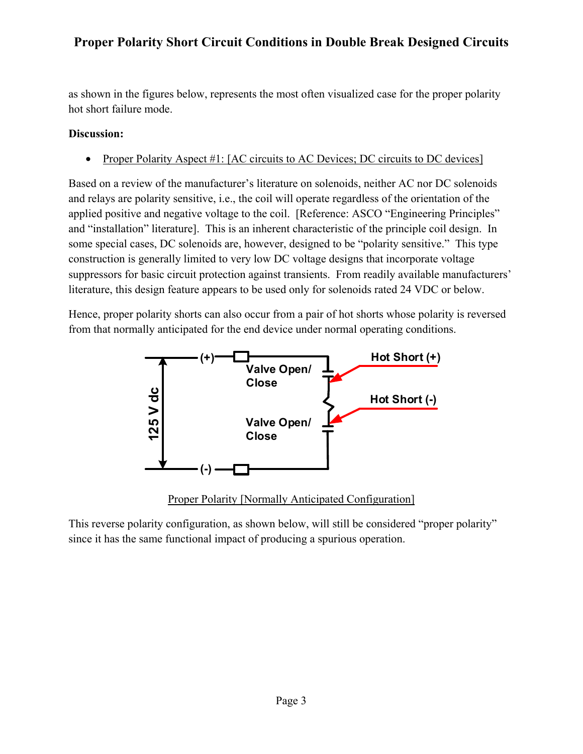as shown in the figures below, represents the most often visualized case for the proper polarity hot short failure mode.

## **Discussion:**

• Proper Polarity Aspect #1: [AC circuits to AC Devices; DC circuits to DC devices]

Based on a review of the manufacturer's literature on solenoids, neither AC nor DC solenoids and relays are polarity sensitive, i.e., the coil will operate regardless of the orientation of the applied positive and negative voltage to the coil. [Reference: ASCO "Engineering Principles" and "installation" literature]. This is an inherent characteristic of the principle coil design. In some special cases, DC solenoids are, however, designed to be "polarity sensitive." This type construction is generally limited to very low DC voltage designs that incorporate voltage suppressors for basic circuit protection against transients. From readily available manufacturers' literature, this design feature appears to be used only for solenoids rated 24 VDC or below.

Hence, proper polarity shorts can also occur from a pair of hot shorts whose polarity is reversed from that normally anticipated for the end device under normal operating conditions.



Proper Polarity [Normally Anticipated Configuration]

This reverse polarity configuration, as shown below, will still be considered "proper polarity" since it has the same functional impact of producing a spurious operation.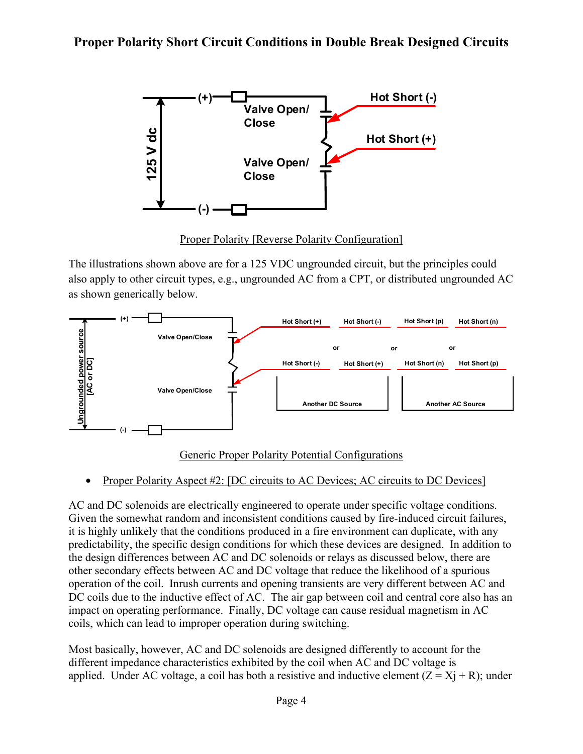

Proper Polarity [Reverse Polarity Configuration]

The illustrations shown above are for a 125 VDC ungrounded circuit, but the principles could also apply to other circuit types, e.g., ungrounded AC from a CPT, or distributed ungrounded AC as shown generically below.



#### Generic Proper Polarity Potential Configurations

#### • Proper Polarity Aspect #2: [DC circuits to AC Devices; AC circuits to DC Devices]

AC and DC solenoids are electrically engineered to operate under specific voltage conditions. Given the somewhat random and inconsistent conditions caused by fire-induced circuit failures, it is highly unlikely that the conditions produced in a fire environment can duplicate, with any predictability, the specific design conditions for which these devices are designed. In addition to the design differences between AC and DC solenoids or relays as discussed below, there are other secondary effects between AC and DC voltage that reduce the likelihood of a spurious operation of the coil. Inrush currents and opening transients are very different between AC and DC coils due to the inductive effect of AC. The air gap between coil and central core also has an impact on operating performance. Finally, DC voltage can cause residual magnetism in AC coils, which can lead to improper operation during switching.

Most basically, however, AC and DC solenoids are designed differently to account for the different impedance characteristics exhibited by the coil when AC and DC voltage is applied. Under AC voltage, a coil has both a resistive and inductive element  $(Z = X<sub>1</sub> + R)$ ; under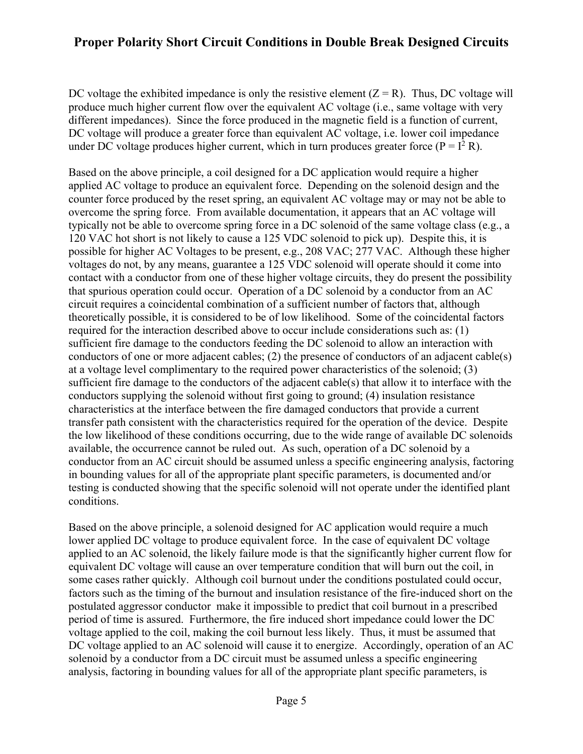DC voltage the exhibited impedance is only the resistive element  $(Z = R)$ . Thus, DC voltage will produce much higher current flow over the equivalent AC voltage (i.e., same voltage with very different impedances). Since the force produced in the magnetic field is a function of current, DC voltage will produce a greater force than equivalent AC voltage, i.e. lower coil impedance under DC voltage produces higher current, which in turn produces greater force ( $P = I^2 R$ ).

Based on the above principle, a coil designed for a DC application would require a higher applied AC voltage to produce an equivalent force. Depending on the solenoid design and the counter force produced by the reset spring, an equivalent AC voltage may or may not be able to overcome the spring force. From available documentation, it appears that an AC voltage will typically not be able to overcome spring force in a DC solenoid of the same voltage class (e.g., a 120 VAC hot short is not likely to cause a 125 VDC solenoid to pick up). Despite this, it is possible for higher AC Voltages to be present, e.g., 208 VAC; 277 VAC. Although these higher voltages do not, by any means, guarantee a 125 VDC solenoid will operate should it come into contact with a conductor from one of these higher voltage circuits, they do present the possibility that spurious operation could occur. Operation of a DC solenoid by a conductor from an AC circuit requires a coincidental combination of a sufficient number of factors that, although theoretically possible, it is considered to be of low likelihood. Some of the coincidental factors required for the interaction described above to occur include considerations such as: (1) sufficient fire damage to the conductors feeding the DC solenoid to allow an interaction with conductors of one or more adjacent cables; (2) the presence of conductors of an adjacent cable(s) at a voltage level complimentary to the required power characteristics of the solenoid; (3) sufficient fire damage to the conductors of the adjacent cable(s) that allow it to interface with the conductors supplying the solenoid without first going to ground; (4) insulation resistance characteristics at the interface between the fire damaged conductors that provide a current transfer path consistent with the characteristics required for the operation of the device. Despite the low likelihood of these conditions occurring, due to the wide range of available DC solenoids available, the occurrence cannot be ruled out. As such, operation of a DC solenoid by a conductor from an AC circuit should be assumed unless a specific engineering analysis, factoring in bounding values for all of the appropriate plant specific parameters, is documented and/or testing is conducted showing that the specific solenoid will not operate under the identified plant conditions.

Based on the above principle, a solenoid designed for AC application would require a much lower applied DC voltage to produce equivalent force. In the case of equivalent DC voltage applied to an AC solenoid, the likely failure mode is that the significantly higher current flow for equivalent DC voltage will cause an over temperature condition that will burn out the coil, in some cases rather quickly. Although coil burnout under the conditions postulated could occur, factors such as the timing of the burnout and insulation resistance of the fire-induced short on the postulated aggressor conductor make it impossible to predict that coil burnout in a prescribed period of time is assured. Furthermore, the fire induced short impedance could lower the DC voltage applied to the coil, making the coil burnout less likely. Thus, it must be assumed that DC voltage applied to an AC solenoid will cause it to energize. Accordingly, operation of an AC solenoid by a conductor from a DC circuit must be assumed unless a specific engineering analysis, factoring in bounding values for all of the appropriate plant specific parameters, is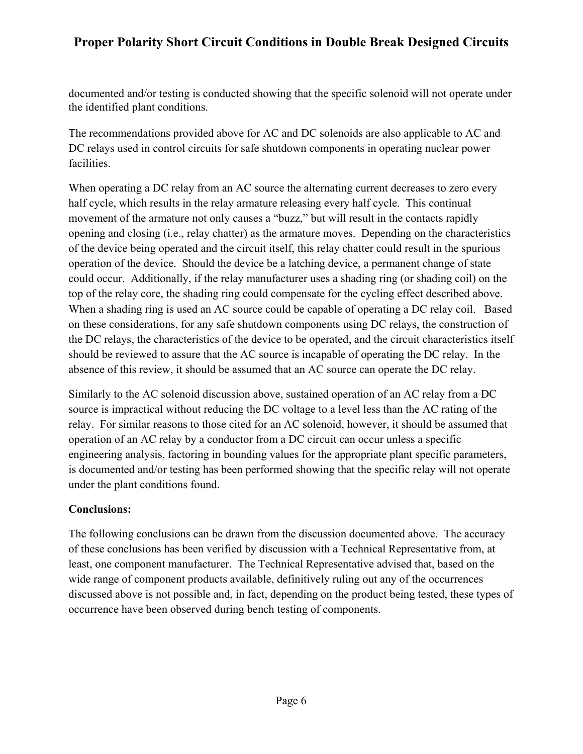documented and/or testing is conducted showing that the specific solenoid will not operate under the identified plant conditions.

The recommendations provided above for AC and DC solenoids are also applicable to AC and DC relays used in control circuits for safe shutdown components in operating nuclear power facilities.

When operating a DC relay from an AC source the alternating current decreases to zero every half cycle, which results in the relay armature releasing every half cycle. This continual movement of the armature not only causes a "buzz," but will result in the contacts rapidly opening and closing (i.e., relay chatter) as the armature moves. Depending on the characteristics of the device being operated and the circuit itself, this relay chatter could result in the spurious operation of the device. Should the device be a latching device, a permanent change of state could occur. Additionally, if the relay manufacturer uses a shading ring (or shading coil) on the top of the relay core, the shading ring could compensate for the cycling effect described above. When a shading ring is used an AC source could be capable of operating a DC relay coil. Based on these considerations, for any safe shutdown components using DC relays, the construction of the DC relays, the characteristics of the device to be operated, and the circuit characteristics itself should be reviewed to assure that the AC source is incapable of operating the DC relay. In the absence of this review, it should be assumed that an AC source can operate the DC relay.

Similarly to the AC solenoid discussion above, sustained operation of an AC relay from a DC source is impractical without reducing the DC voltage to a level less than the AC rating of the relay. For similar reasons to those cited for an AC solenoid, however, it should be assumed that operation of an AC relay by a conductor from a DC circuit can occur unless a specific engineering analysis, factoring in bounding values for the appropriate plant specific parameters, is documented and/or testing has been performed showing that the specific relay will not operate under the plant conditions found.

#### **Conclusions:**

The following conclusions can be drawn from the discussion documented above. The accuracy of these conclusions has been verified by discussion with a Technical Representative from, at least, one component manufacturer. The Technical Representative advised that, based on the wide range of component products available, definitively ruling out any of the occurrences discussed above is not possible and, in fact, depending on the product being tested, these types of occurrence have been observed during bench testing of components.